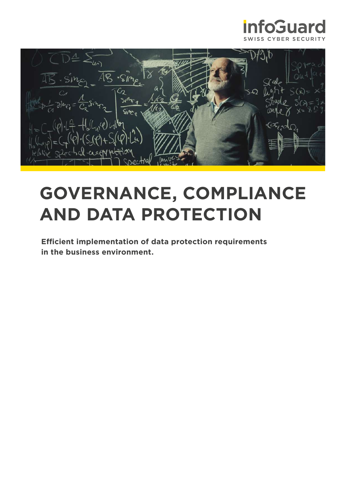



# **GOVERNANCE, COMPLIANCE AND DATA PROTECTION**

**Efficient implementation of data protection requirements in the business environment.**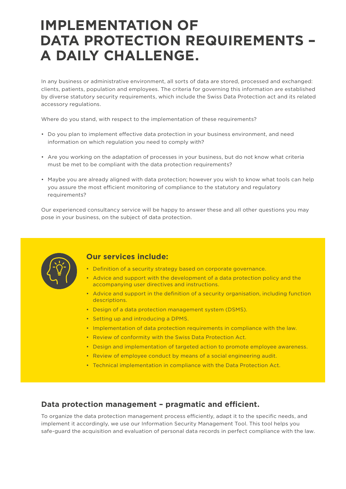# **IMPLEMENTATION OF DATA PROTECTION REQUIREMENTS – A DAILY CHALLENGE.**

In any business or administrative environment, all sorts of data are stored, processed and exchanged: clients, patients, population and employees. The criteria for governing this information are established by diverse statutory security requirements, which include the Swiss Data Protection act and its related accessory regulations.

Where do you stand, with respect to the implementation of these requirements?

- Do you plan to implement effective data protection in your business environment, and need information on which regulation you need to comply with?
- Are you working on the adaptation of processes in your business, but do not know what criteria must be met to be compliant with the data protection requirements?
- Maybe you are already aligned with data protection; however you wish to know what tools can help you assure the most efficient monitoring of compliance to the statutory and regulatory requirements?

Our experienced consultancy service will be happy to answer these and all other questions you may pose in your business, on the subject of data protection.



## **Our services include:**

- Definition of a security strategy based on corporate governance.
- Advice and support with the development of a data protection policy and the accompanying user directives and instructions.
- Advice and support in the definition of a security organisation, including function descriptions.
- Design of a data protection management system (DSMS).
- Setting up and introducing a DPMS.
- Implementation of data protection requirements in compliance with the law.
- Review of conformity with the Swiss Data Protection Act.
- Design and implementation of targeted action to promote employee awareness.
- Review of employee conduct by means of a social engineering audit.
- Technical implementation in compliance with the Data Protection Act.

### **Data protection management – pragmatic and efficient.**

To organize the data protection management process efficiently, adapt it to the specific needs, and implement it accordingly, we use our Information Security Management Tool. This tool helps you safe-guard the acquisition and evaluation of personal data records in perfect compliance with the law.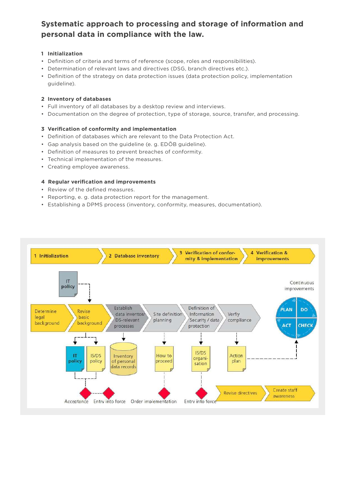# **Systematic approach to processing and storage of information and personal data in compliance with the law.**

#### **1 Initialization**

- Definition of criteria and terms of reference (scope, roles and responsibilities).
- Determination of relevant laws and directives (DSG, branch directives etc.).
- Definition of the strategy on data protection issues (data protection policy, implementation guideline).

#### **2 Inventory of databases**

- Full inventory of all databases by a desktop review and interviews.
- Documentation on the degree of protection, type of storage, source, transfer, and processing.

#### **3 Verification of conformity and implementation**

- Definition of databases which are relevant to the Data Protection Act.
- Gap analysis based on the guideline (e. g. EDÖB guideline).
- Definition of measures to prevent breaches of conformity.
- Technical implementation of the measures.
- Creating employee awareness.

#### **4 Regular verification and improvements**

- Review of the defined measures.
- Reporting, e. g. data protection report for the management.
- Establishing a DPMS process (inventory, conformity, measures, documentation).